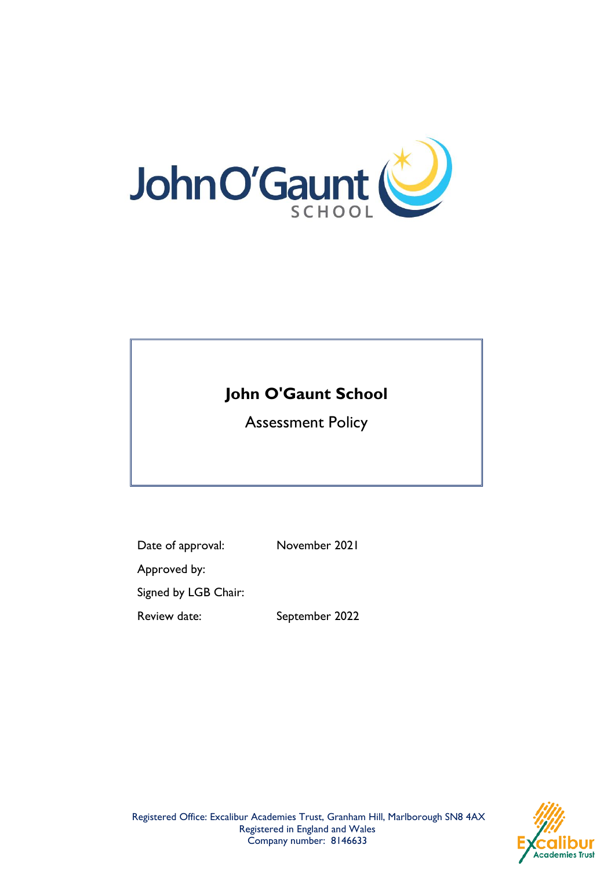

# **John O'Gaunt School**

Assessment Policy

Date of approval: November 2021

Approved by:

Signed by LGB Chair:

Review date: September 2022



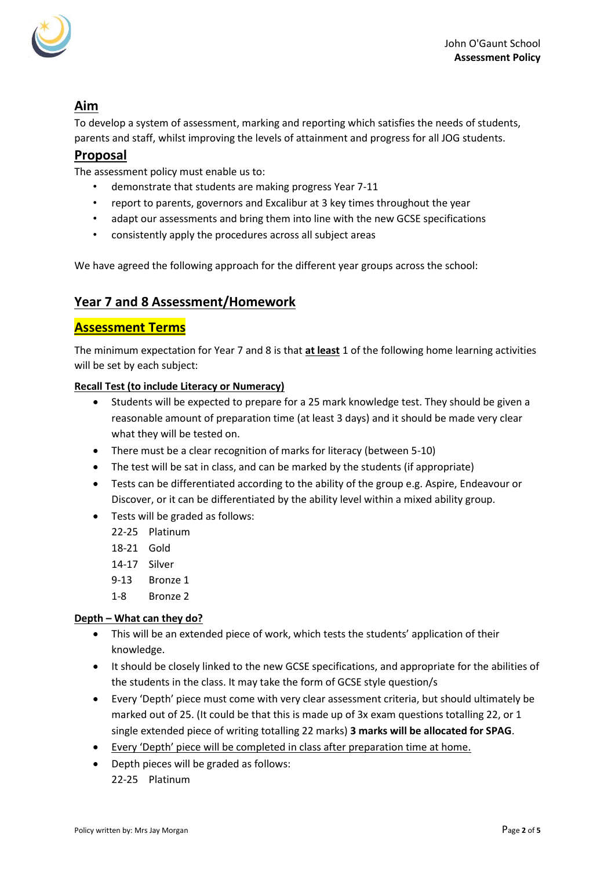

### **Aim**

To develop a system of assessment, marking and reporting which satisfies the needs of students, parents and staff, whilst improving the levels of attainment and progress for all JOG students.

### **Proposal**

The assessment policy must enable us to:

- demonstrate that students are making progress Year 7-11
- report to parents, governors and Excalibur at 3 key times throughout the year
- adapt our assessments and bring them into line with the new GCSE specifications
- consistently apply the procedures across all subject areas

We have agreed the following approach for the different year groups across the school:

### **Year 7 and 8 Assessment/Homework**

### **Assessment Terms**

The minimum expectation for Year 7 and 8 is that **at least** 1 of the following home learning activities will be set by each subject:

#### **Recall Test (to include Literacy or Numeracy)**

- Students will be expected to prepare for a 25 mark knowledge test. They should be given a reasonable amount of preparation time (at least 3 days) and it should be made very clear what they will be tested on.
- There must be a clear recognition of marks for literacy (between 5-10)
- The test will be sat in class, and can be marked by the students (if appropriate)
- Tests can be differentiated according to the ability of the group e.g. Aspire, Endeavour or Discover, or it can be differentiated by the ability level within a mixed ability group.
- Tests will be graded as follows:
	- 22-25 Platinum
	- 18-21 Gold
	- 14-17 Silver
	- 9-13 Bronze 1
	- 1-8 Bronze 2

#### **Depth – What can they do?**

- This will be an extended piece of work, which tests the students' application of their knowledge.
- It should be closely linked to the new GCSE specifications, and appropriate for the abilities of the students in the class. It may take the form of GCSE style question/s
- Every 'Depth' piece must come with very clear assessment criteria, but should ultimately be marked out of 25. (It could be that this is made up of 3x exam questions totalling 22, or 1 single extended piece of writing totalling 22 marks) **3 marks will be allocated for SPAG**.
- Every 'Depth' piece will be completed in class after preparation time at home.
- Depth pieces will be graded as follows: 22-25 Platinum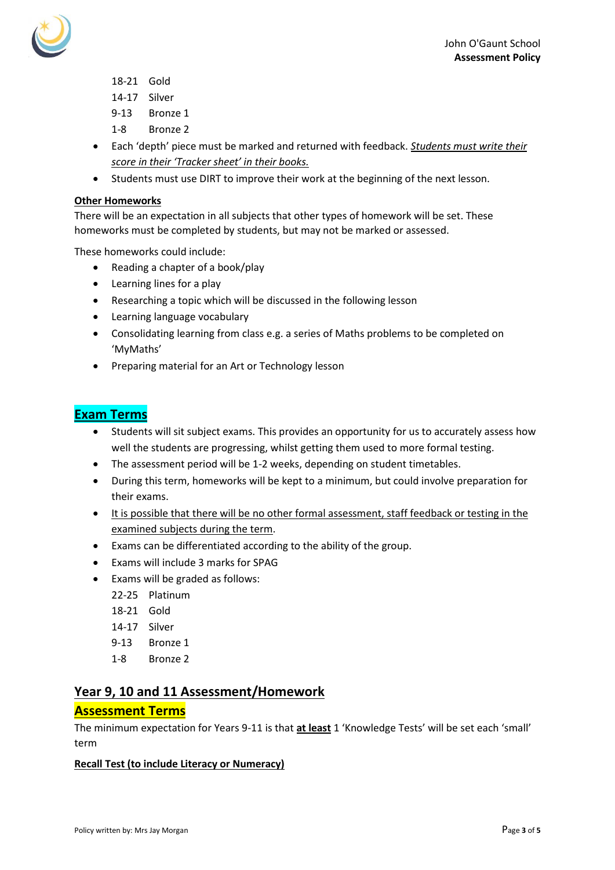

- 18-21 Gold
- 14-17 Silver
- 9-13 Bronze 1
- 1-8 Bronze 2
- Each 'depth' piece must be marked and returned with feedback. *Students must write their score in their 'Tracker sheet' in their books.*
- Students must use DIRT to improve their work at the beginning of the next lesson.

#### **Other Homeworks**

There will be an expectation in all subjects that other types of homework will be set. These homeworks must be completed by students, but may not be marked or assessed.

These homeworks could include:

- Reading a chapter of a book/play
- Learning lines for a play
- Researching a topic which will be discussed in the following lesson
- Learning language vocabulary
- Consolidating learning from class e.g. a series of Maths problems to be completed on 'MyMaths'
- Preparing material for an Art or Technology lesson

### **Exam Terms**

- Students will sit subject exams. This provides an opportunity for us to accurately assess how well the students are progressing, whilst getting them used to more formal testing.
- The assessment period will be 1-2 weeks, depending on student timetables.
- During this term, homeworks will be kept to a minimum, but could involve preparation for their exams.
- It is possible that there will be no other formal assessment, staff feedback or testing in the examined subjects during the term.
- Exams can be differentiated according to the ability of the group.
- Exams will include 3 marks for SPAG
- Exams will be graded as follows:
	- 22-25 Platinum
	- 18-21 Gold
	- 14-17 Silver
	- 9-13 Bronze 1
	- 1-8 Bronze 2

### **Year 9, 10 and 11 Assessment/Homework**

### **Assessment Terms**

The minimum expectation for Years 9-11 is that **at least** 1 'Knowledge Tests' will be set each 'small' term

#### **Recall Test (to include Literacy or Numeracy)**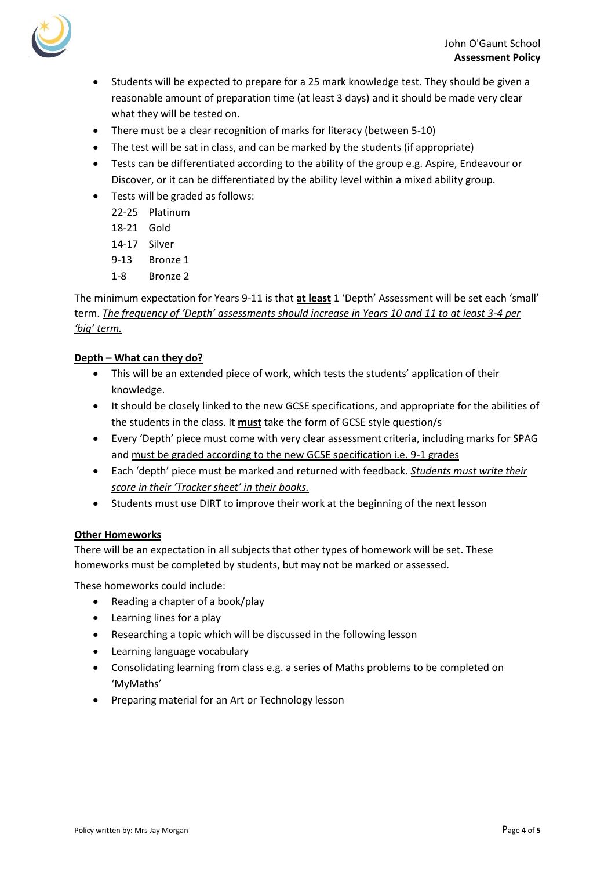



- Students will be expected to prepare for a 25 mark knowledge test. They should be given a reasonable amount of preparation time (at least 3 days) and it should be made very clear what they will be tested on.
- There must be a clear recognition of marks for literacy (between 5-10)
- The test will be sat in class, and can be marked by the students (if appropriate)
- Tests can be differentiated according to the ability of the group e.g. Aspire, Endeavour or Discover, or it can be differentiated by the ability level within a mixed ability group.
- Tests will be graded as follows:
	- 22-25 Platinum
	- 18-21 Gold
	- 14-17 Silver
	- 9-13 Bronze 1
	- 1-8 Bronze 2

#### The minimum expectation for Years 9-11 is that **at least** 1 'Depth' Assessment will be set each 'small' term. *The frequency of 'Depth' assessments should increase in Years 10 and 11 to at least 3-4 per 'big' term.*

#### **Depth – What can they do?**

- This will be an extended piece of work, which tests the students' application of their knowledge.
- It should be closely linked to the new GCSE specifications, and appropriate for the abilities of the students in the class. It **must** take the form of GCSE style question/s
- Every 'Depth' piece must come with very clear assessment criteria, including marks for SPAG and must be graded according to the new GCSE specification i.e. 9-1 grades
- Each 'depth' piece must be marked and returned with feedback. *Students must write their score in their 'Tracker sheet' in their books.*
- Students must use DIRT to improve their work at the beginning of the next lesson

#### **Other Homeworks**

There will be an expectation in all subjects that other types of homework will be set. These homeworks must be completed by students, but may not be marked or assessed.

These homeworks could include:

- Reading a chapter of a book/play
- Learning lines for a play
- Researching a topic which will be discussed in the following lesson
- Learning language vocabulary
- Consolidating learning from class e.g. a series of Maths problems to be completed on 'MyMaths'
- Preparing material for an Art or Technology lesson